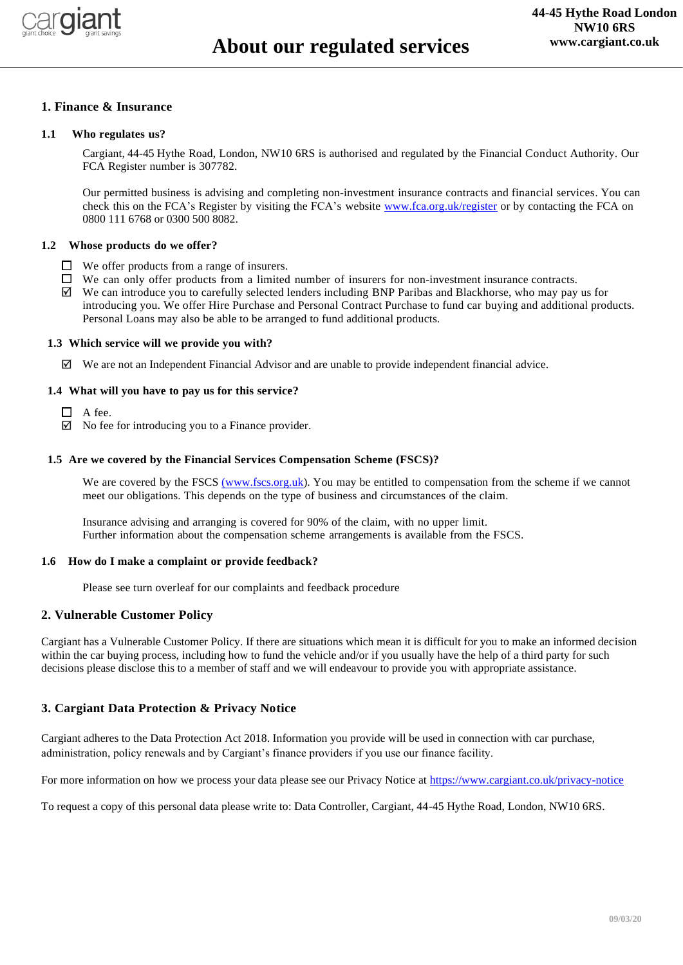

# **1. Finance & Insurance**

#### **1.1 Who regulates us?**

Cargiant, 44-45 Hythe Road, London, NW10 6RS is authorised and regulated by the Financial Conduct Authority. Our FCA Register number is 307782.

Our permitted business is advising and completing non-investment insurance contracts and financial services. You can check this on the FCA's Register by visiting the FCA's website [www.fca.org.uk/register](http://www.fca.org.uk/register) or by contacting the FCA on 0800 111 6768 or 0300 500 8082.

### **1.2 Whose products do we offer?**

- $\Box$  We offer products from a range of insurers.
- $\Box$  We can only offer products from a limited number of insurers for non-investment insurance contracts.
- $\boxtimes$  We can introduce you to carefully selected lenders including BNP Paribas and Blackhorse, who may pay us for introducing you. We offer Hire Purchase and Personal Contract Purchase to fund car buying and additional products. Personal Loans may also be able to be arranged to fund additional products.

#### **1.3 Which service will we provide you with?**

 $\boxtimes$  We are not an Independent Financial Advisor and are unable to provide independent financial advice.

#### **1.4 What will you have to pay us for this service?**

- $\Box$  A fee.
- $\boxtimes$  No fee for introducing you to a Finance provider.

#### **1.5 Are we covered by the Financial Services Compensation Scheme (FSCS)?**

We are covered by the FSCS [\(www.fscs.org.uk\)](http://(www.fscs.org.uk/). You may be entitled to compensation from the scheme if we cannot meet our obligations. This depends on the type of business and circumstances of the claim.

Insurance advising and arranging is covered for 90% of the claim, with no upper limit. Further information about the compensation scheme arrangements is available from the FSCS.

#### **1.6 How do I make a complaint or provide feedback?**

Please see turn overleaf for our complaints and feedback procedure

## **2. Vulnerable Customer Policy**

Cargiant has a Vulnerable Customer Policy. If there are situations which mean it is difficult for you to make an informed decision within the car buying process, including how to fund the vehicle and/or if you usually have the help of a third party for such decisions please disclose this to a member of staff and we will endeavour to provide you with appropriate assistance.

## **3. Cargiant Data Protection & Privacy Notice**

Cargiant adheres to the Data Protection Act 2018. Information you provide will be used in connection with car purchase, administration, policy renewals and by Cargiant's finance providers if you use our finance facility.

For more information on how we process your data please see our Privacy Notice a[t https://www.cargiant.co.uk/privacy-notice](https://www.cargiant.co.uk/privacy-notice)

To request a copy of this personal data please write to: Data Controller, Cargiant, 44-45 Hythe Road, London, NW10 6RS.